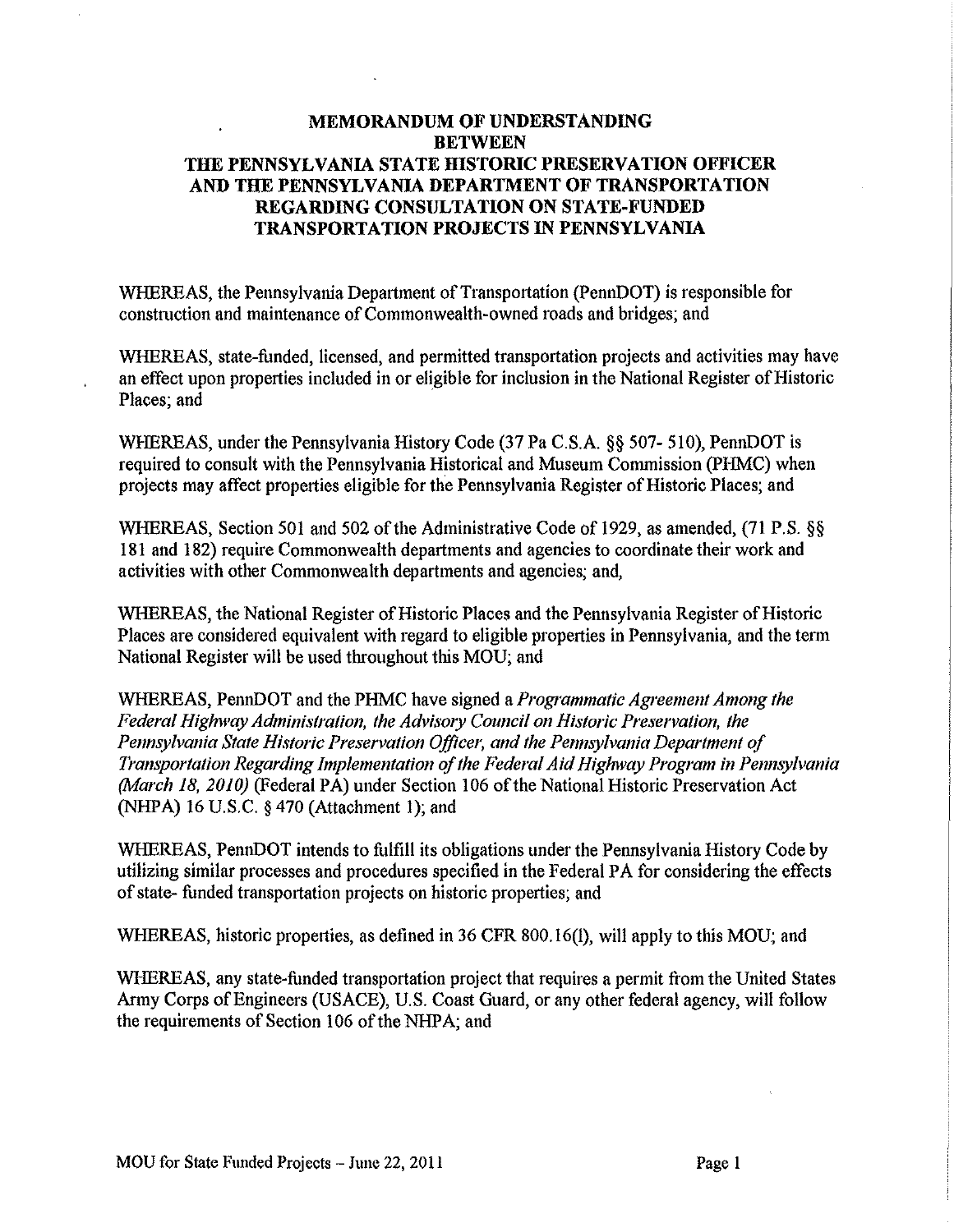### **MEMORANDUM OF UNDERSTANDING BETWEEN THE PENNSYLVANIA STATE HISTORIC PRESERVATION OFFICER AND THE PENNSYLVANIA DEPARTMENT OF TRANSPORTATION REGARDING CONSULTATION ON STATE-FUNDED TRANSPORTATION PROJECTS IN PENNSYLVANIA**

WHEREAS, the Pennsylvania Department of Transportation (PennDOT) is responsible for construction and maintenance of Commonwealth-owned roads and bridges; and

WHEREAS, state-funded, licensed, and permitted transportation projects and activities may have an effect upon properties included in or eligible for inclusion in the National Register of Historic Places; and

WHEREAS, under the Pennsylvania History Code (37 Pa C.S.A. §§ 507- 510), PennDOT is required to consult with the Pennsylvania Historical and Museum Commission (PHMC) when projects may affect properties eligible for the Pennsylvania Register of Historic Places; and

WHEREAS, Section 501 and 502 of the Administrative Code of 1929, as amended, (71 P.S. §§ 181 and 182) require Commonwealth departments and agencies to coordinate their work and activities with other Commonwealth departments and agencies; and,

WHEREAS, the National Register of Historic Places and the Pennsylvania Register of Historic Places are considered equivalent with regard to eligible properties in Pennsylvania, and the term National Register will be used throughout this MOU; and

WHEREAS, PennDOT and the PHMC have signed a *Programmatic Agreement Among the*  Federal Highway Administration, the Advisory Council on Historic Preservation, the *Pennsylvania State Historic Preservation Officer, and the Pennsylvania Department of Transportation Regarding Implementation of the Federal Aid Highway Program in Pennsylvania (March 18, 2010)* (Federal PA) under Section 106 of the National Historic Preservation Act (NHPA) 16 U.S. C. *§* 470 (Attachment 1); and

WHEREAS, PennDOT intends to fulfill its obligations under the Pennsylvania Histoty Code by utilizing similar processes and procedures specified in the Federal PA for considering the effects of state- funded transportation projects on historic properties; and

WHEREAS, historic properties, as defined in 36 CFR 800.16(1), will apply to this MOU; and

WHEREAS, any state-funded transportation project that requires a permit from the United States Army Corps of Engineers (USACE), U.S. Coast Guard, or any other federal agency, will follow the requirements of Section 106 of the NHPA; and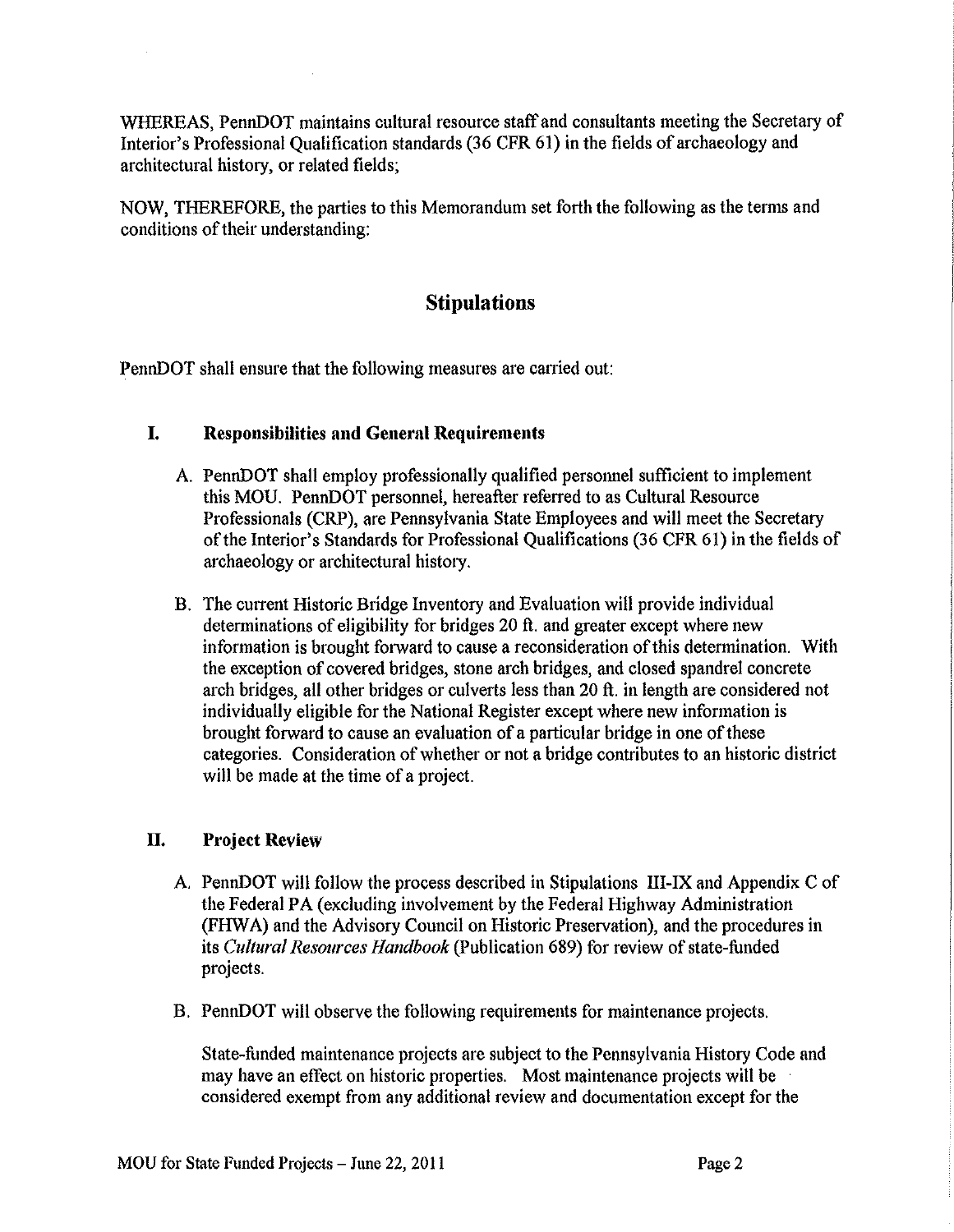WHEREAS, PennDOT maintains cultural resource staff and consultants meeting the Secretary of Interior's Professional Qualification standards (36 CFR 61) in the fields of archaeology and architectural history, or related fields;

NOW, THEREFORE, the parties to this Memorandum set forth the following as the terms and conditions of their understanding:

# **Stipulations**

PennDOT shall ensure that the following measures are carried out:

### **I. Responsibilities and General Requirements**

- A. PennDOT shall employ professionally qualified personnel sufficient to implement this MOU. PennDOT personnel, hereafter referred to as Cultural Resource Professionals (CRP), are Pennsylvania State Employees and will meet the Secretary of the Interior's Standards for Professional Qualifications (36 CFR 61) in the fields of archaeology or architectural history.
- B. The current Historic Bridge Inventory and Evaluation will provide individual determinations of eligibility for bridges 20 ft. and greater except where new information is brought forward to cause a reconsideration of this determination. With the exception of covered bridges, stone arch bridges, and closed spandrel concrete arch bridges, all other bridges or culverts less than 20 ft. in length are considered not individually eligible for the National Register except where new information is brought forward to cause an evaluation of a particular bridge in one of these categories. Consideration of whether or not a bridge contributes to an historic district will be made at the time of a project.

# **II. Project Review**

 $\mathcal{L}_{\mathrm{in}}$ 

- A. PennDOT will follow the process described in Stipulations III-IX and Appendix C of the Federal PA (excluding involvement by the Federal Highway Administration (FHW A) and the Advisory Council on Historic Preservation), and the procedures in its *Cultural Resources Handbook* (Publication 689) for review of state-funded projects.
- B. PennDOT will observe the following requirements for maintenance projects.

State-funded maintenance projects are subject to the Pennsylvania History Code and may have an effect on historic properties. Most maintenance projects will be considered exempt from any additional review and documentation except for the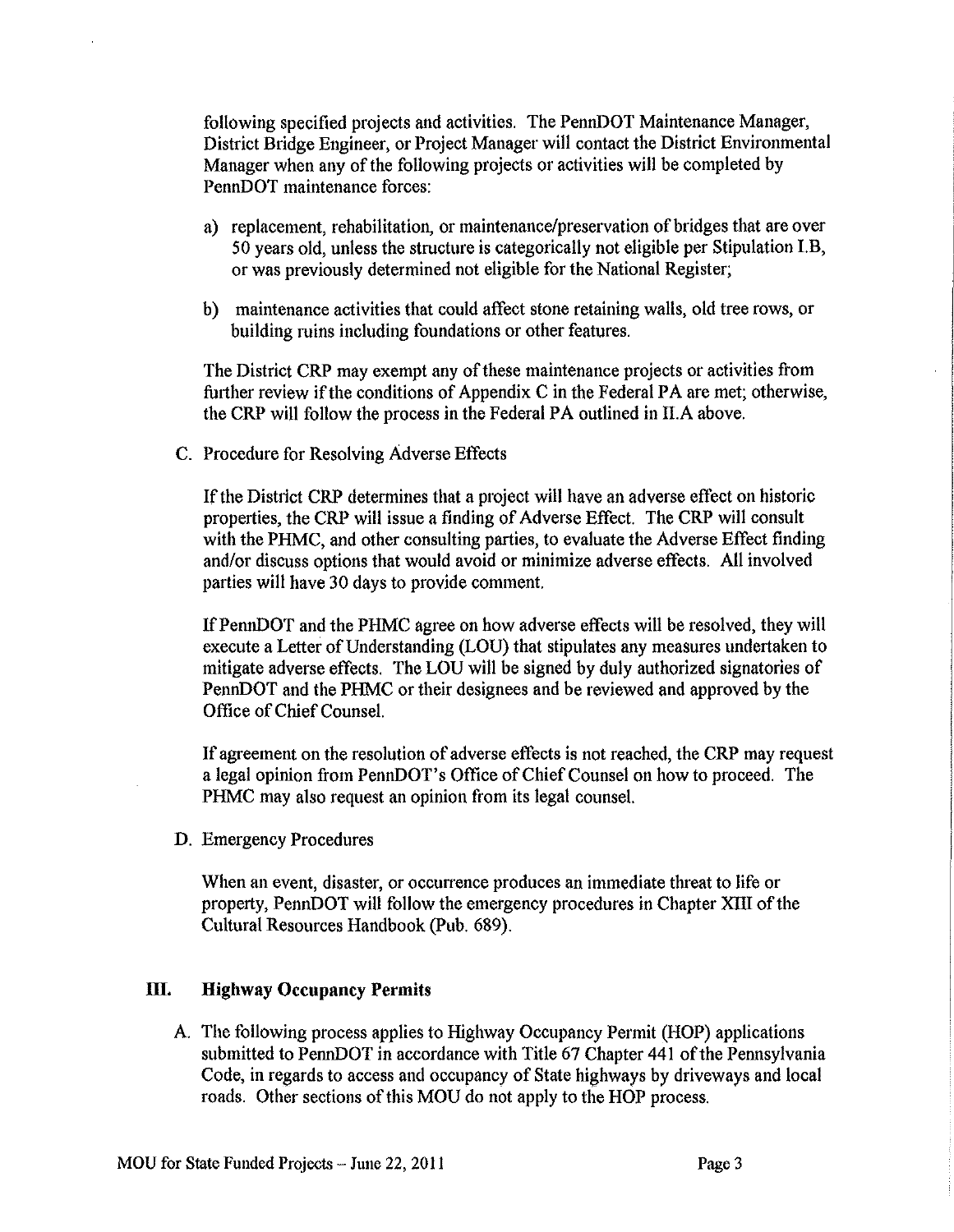following specified projects and activities. The PennDOT Maintenance Manager, District Bridge Engineer, or Project Manager will contact the District Environmental Manager when any of the following projects or activities will be completed by PennDOT maintenance forces:

- a) replacement, rehabilitation, or maintenance/preservation of bridges that are over 50 years old, unless the structure is categorically not eligible per Stipulation I.B, or was previously determined not eligible for the National Register;
- b) maintenance activities that could affect stone retaining walls, old tree rows, or building ruins including foundations or other features.

The District CRP may exempt any of these maintenance projects or activities from further review if the conditions of Appendix C in the Federal PA are met; otherwise, the CRP will follow the process in the Federal PA outlined in II.A above.

C. Procedure for Resolving Adverse Effects

If the District CRP determines that a project will have an adverse effect on historic properties, the CRP will issue a finding of Adverse Effect. The CRP will consult with the PHMC, and other consulting parties, to evaluate the Adverse Effect finding and/or discuss options that would avoid or minimize adverse effects. All involved parties will have 30 days to provide comment.

IfPennDOT and the PHMC agree on how adverse effects will be resolved, they will execute a Letter of Understanding (LOU) that stipulates any measures undertaken to mitigate adverse effects. The LOU will be signed by duly authorized signatories of PennDOT and the PHMC or their designees and be reviewed and approved by the Office of Chief Counsel.

If agreement on the resolution of adverse effects is not reached, the CRP may request a legal opinion from PennDOT's Office of Chief Counsel on how to proceed. The PHMC may also request an opinion from its legal counsel.

D. Emergency Procedures

When an event, disaster, or occurrence produces an immediate threat to life or property, PennDOT will follow the emergency procedures in Chapter XIII of the Cultural Resources Handbook (Pub. 689).

# **ill. Highway Occupancy Permits**

A. The following process applies to Highway Occupancy Permit (HOP) applications submitted to PennDOT in accordance with Title 67 Chapter 441 of the Pennsylvania Code, in regards to access and occupancy of State highways by driveways and local roads. Other sections of this MOU do not apply to the HOP process.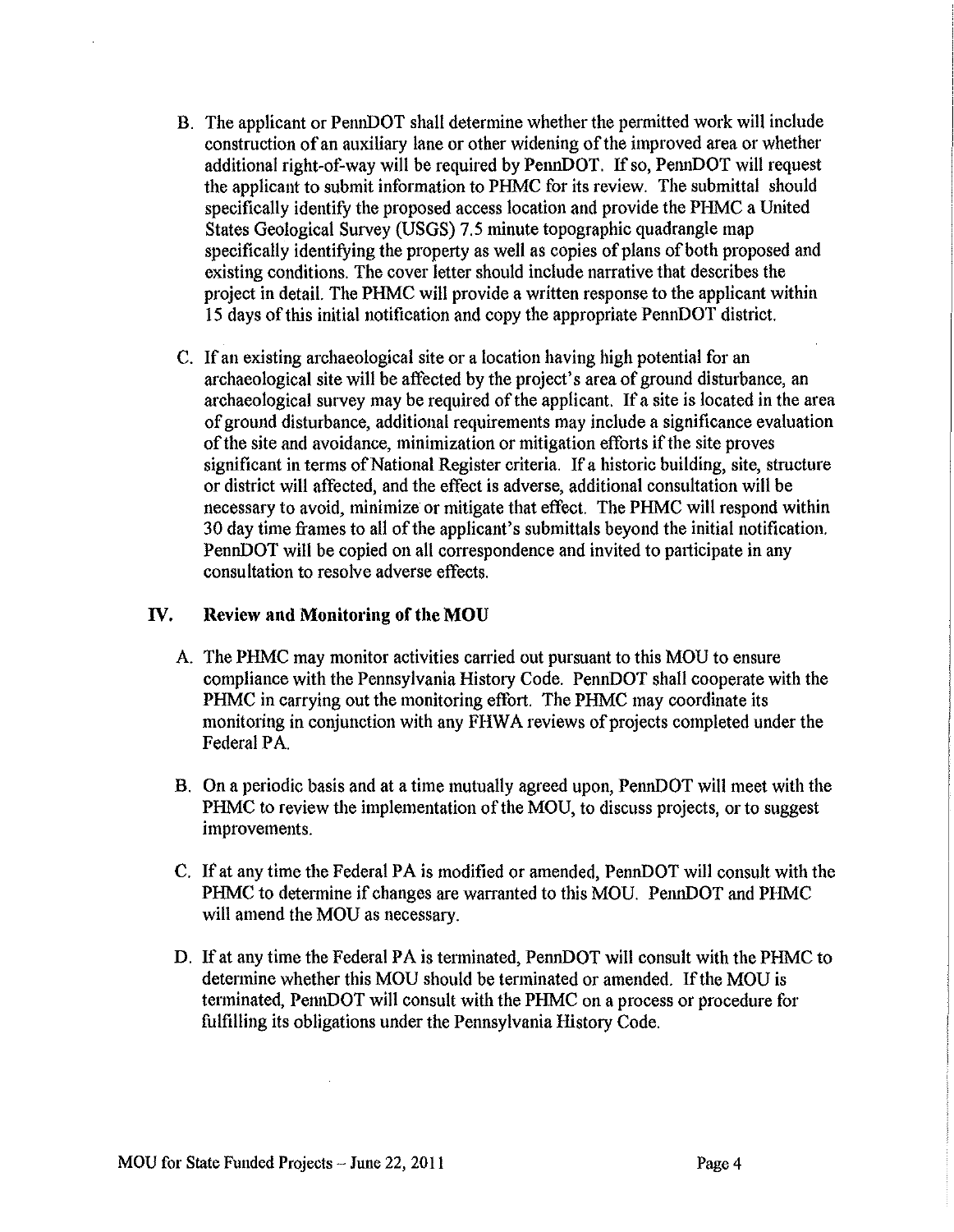- B. The applicant or PennDOT shall determine whether the permitted work will include construction of an auxiliary lane or other widening of the improved area or whether additional right-of-way will be required by PennDOT. If so, PennDOT will request the applicant to submit information to PHMC for its review. The submittal should specifically identify the proposed access location and provide the PHMC a United States Geological Survey (USGS) 7.5 minute topographic quadrangle map specifically identifying the property as well as copies of plans of both proposed and existing conditions. The cover letter should include narrative that describes the project in detail. The PHMC will provide a written response to the applicant within 1 5 days of this initial notification and copy the appropriate PennDOT district.
- C. If an existing archaeological site or a location having high potential for an archaeological site will be affected by the project's area of ground disturbance, an archaeological survey may be required of the applicant. If a site is located in the area of ground disturbance, additional requirements may include a significance evaluation of the site and avoidance, minimization or mitigation efforts if the site proves significant in terms of National Register criteria. If a historic building, site, structure or district will affected, and the effect is adverse, additional consultation will be necessary to avoid, minimize or mitigate that effect. The PHMC will respond within 30 day time frames to all of the applicant's submittals beyond the initial notification. PennDOT will be copied on all correspondence and invited to patticipate in any consultation to resolve adverse effects.

# **IV. Review and Monitoring of the MOU**

- A. The PHMC may monitor activities carried out pursuant to this MOU to ensure compliance with the Pennsylvania History Code. PennDOT shall cooperate with the PHMC in carrying out the monitoring effort. The PHMC may coordinate its monitoring in conjunction with any FHWA reviews of projects completed under the Federal PA.
- B. On a periodic basis and at a time mutually agreed upon, PennDOT will meet with the PHMC to review the implementation of the MOU, to discuss projects, or to suggest improvements.
- C. If at any time the Federal PAis modified or amended, PennDOT will consult with the PHMC to determine if changes are warranted to this MOU. PennDOT and PHMC will amend the MOU as necessary.
- D. If at any time the Federal PA is terminated, PennDOT will consult with the PHMC to detennine whether this MOU should be terminated or amended. If the MOU is tenninated, PennDOT will consult with the PHMC on a process or procedure for fulfilling its obligations under the Pennsylvania History Code.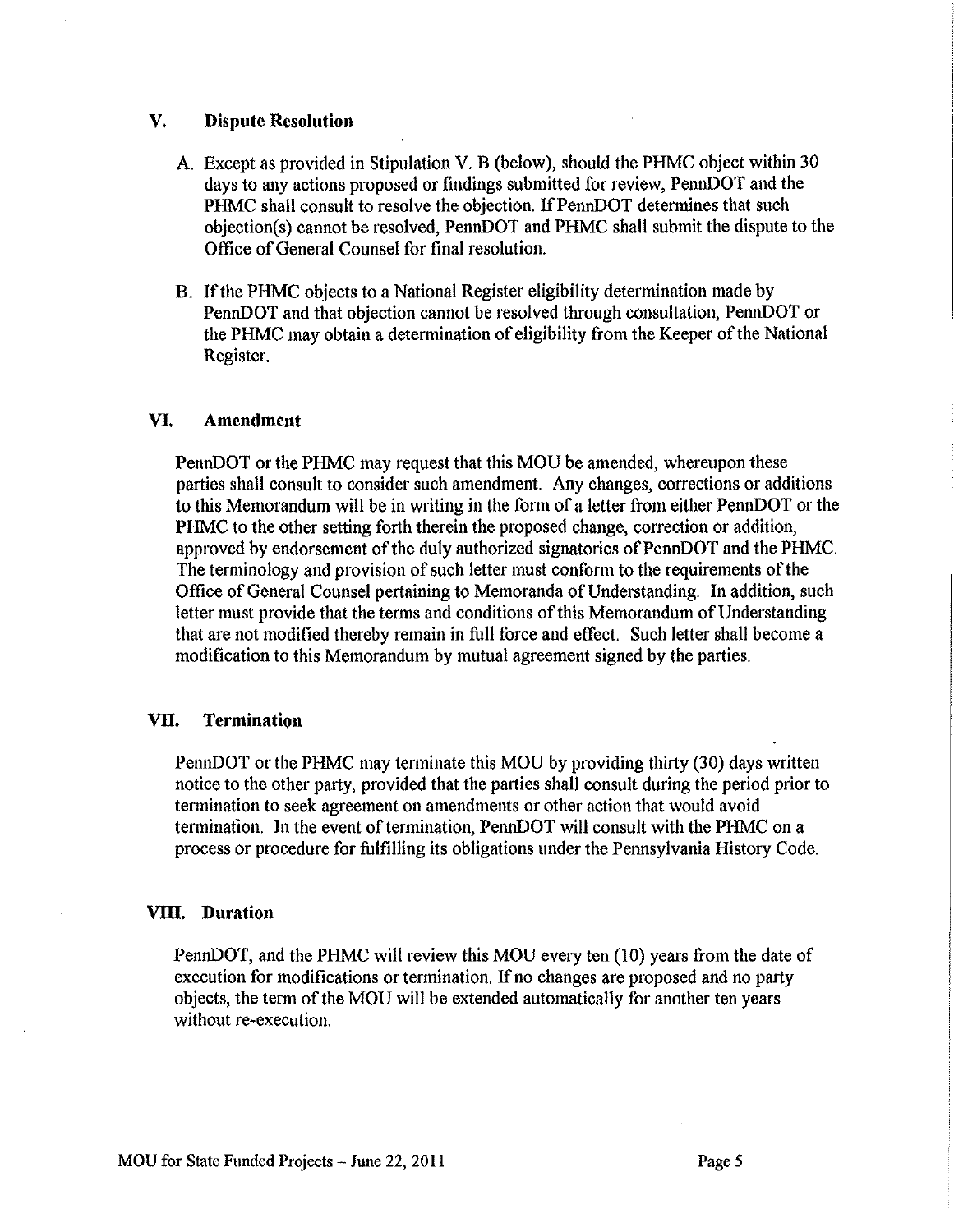#### **V. Dispute Resolution**

- A. Except as provided in Stipulation V. B (below), should the PHMC object within 30 days to any actions proposed or findings submitted for review, PennDOT and the PHMC shall consult to resolve the objection. If PennDOT determines that such objection( s) cannot be resolved, PennDOT and PHMC shall submit the dispute to the Office of General Counsel for final resolution.
- B. If the PHMC objects to a National Register eligibility determination made by PennDOT and that objection cannot be resolved through consultation, PennDOT or the PHMC may obtain a determination of eligibility from the Keeper of the National Register.

#### **VI. Amendment**

PennDOT or the PHMC may request that this MOU be amended, whereupon these parties shall consult to consider such amendment. Any changes, corrections or additions to this Memorandum will be in writing in the form of a letter from either PennDOT or the PHMC to the other setting forth therein the proposed change, correction or addition, approved by endorsement of the duly authorized signatories of PennDOT and the PHMC. The terminology and provision of such letter must conform to the requirements of the Office of General Counsel pertaining to Memoranda of Understanding. In addition, such letter must provide that the terms and conditions of this Memorandum of Understanding that are not modified thereby remain in full force and effect. Such letter shall become a modification to this Memorandum by mutual agreement signed by the parties.

#### **VTI. Termination**

PennDOT or the PHMC may terminate this MOU by providing thirty (30) days written notice to the other party, provided that the parties shall consult during the period prior to termination to seek agreement on amendments or other action that would avoid termination. In the event of termination, PennDOT will consult with the PHMC on a process or procedure for fulfilling its obligations under the Pennsylvania History Code.

#### **VTII. Duration**

PennDOT, and the PHMC will review this MOU every ten (10) years from the date of execution for modifications or termination. If no changes are proposed and no party objects, the term of the MOU will be extended automatically for another ten years without re-execution.